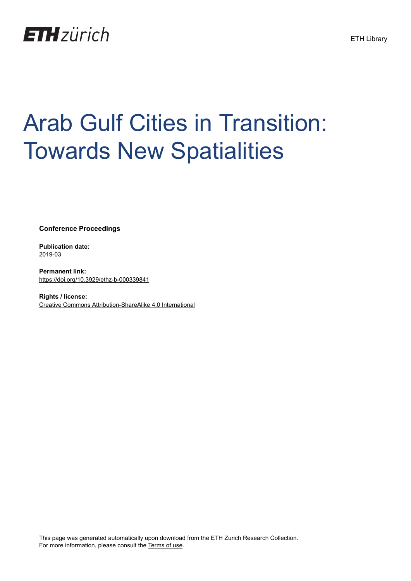

# Arab Gulf Cities in Transition: Towards New Spatialities

**Conference Proceedings**

**Publication date:** 2019-03

**Permanent link:** <https://doi.org/10.3929/ethz-b-000339841>

**Rights / license:** [Creative Commons Attribution-ShareAlike 4.0 International](http://creativecommons.org/licenses/by-sa/4.0/)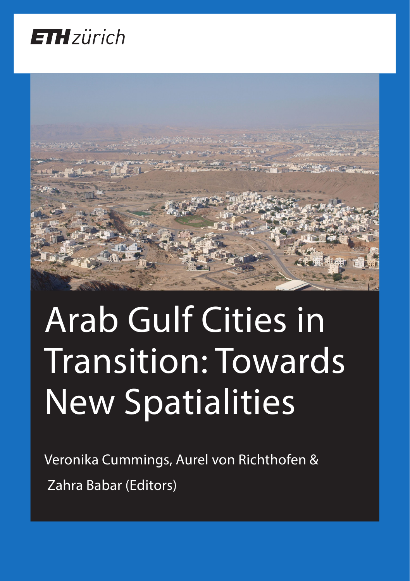



# Arab Gulf Cities in Transition: Towards New Spatialities

Veronika Cummings, Aurel von Richthofen & Zahra Babar (Editors)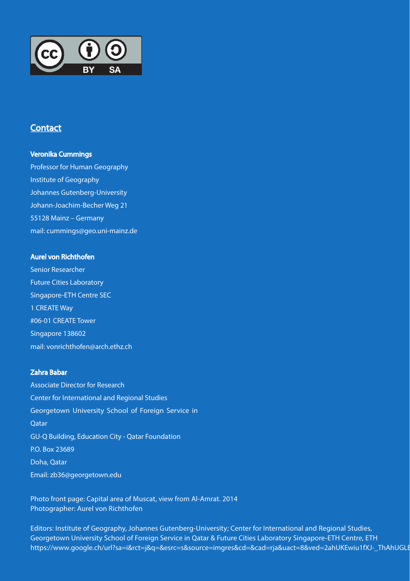

### **Contact**

### Veronika Cummings

Professor for Human Geography Institute of Geography Johannes Gutenberg-University Johann-Joachim-Becher Weg 21 55128 Mainz – Germany mail: cummings@geo.uni-mainz.de

#### Aurel von Richthofen

Senior Researcher Future Cities Laboratory Singapore-ETH Centre SEC 1 CREATE Way #06-01 CREATE Tower Singapore 138602 mail: vonrichthofen@arch.ethz.ch

#### Zahra Babar

Associate Director for Research Center for International and Regional Studies Georgetown University School of Foreign Service in **Oatar** GU-Q Building, Education City - Qatar Foundation P.O. Box 23689 Doha, Qatar Email: zb36@georgetown.edu

Photo front page: Capital area of Muscat, view from Al-Amrat. 2014 Photographer: Aurel von Richthofen

Editors: Institute of Geography, Johannes Gutenberg-University; Center for International and Regional Studies, Georgetown University School of Foreign Service in Qatar & Future Cities Laboratory Singapore-ETH Centre, ETH https://www.google.ch/url?sa=i&rct=j&q=&esrc=s&source=imgres&cd=&cad=rja&uact=8&ved=2ahUKEwiu1fXJ-\_ThAhUGLI